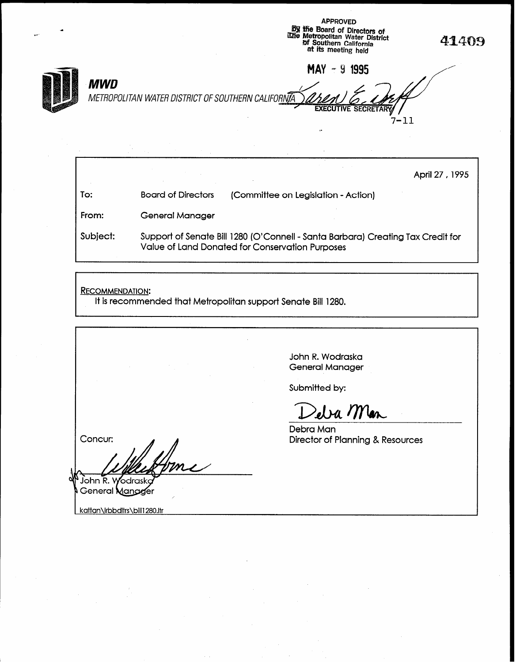**by the Board of Directors of**<br>
illie Metropolitan Water District<br>
of Southern California and<br>
at its meeting held<br>
at its meeting held MAY - 9 1995 **MWD** METROPOLITAN WATER DISTRICT OF SOUTHERN CALIFORNIA **EXECUTIVE SECRETARY**  $7 - 11$ 

APPROVED

|          |                                                                                                                                    | April 27, 1995                      |
|----------|------------------------------------------------------------------------------------------------------------------------------------|-------------------------------------|
| To:      | <b>Board of Directors</b>                                                                                                          | (Committee on Legislation - Action) |
| From:    | <b>General Manager</b>                                                                                                             |                                     |
| Subject: | Support of Senate Bill 1280 (O'Connell - Santa Barbara) Creating Tax Credit for<br>Value of Land Donated for Conservation Purposes |                                     |

RECOMMENDATION:

It is recommended that Metropolitan support Senate Bill 1280.

John R. Wodraska General Manager Submitted by: Deba Man Debra Man Concur: Director of Planning & Resources  $^1$ John R. Wodrask General Mangger kattan\Irbbdltrs\bill1280.ltr